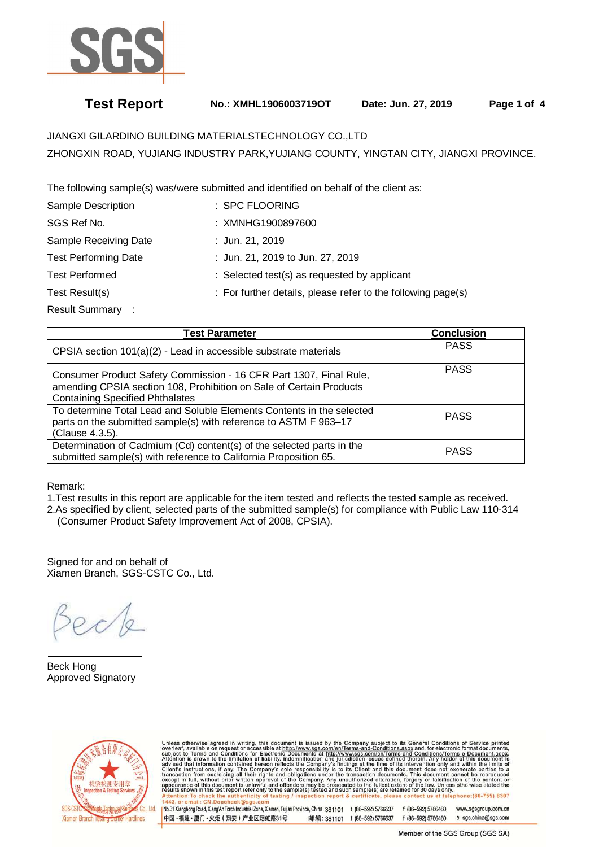

## **Test Report No.: XMHL1906003719OT Date: Jun. 27, 2019 Page 1 of 4**

# JIANGXI GILARDINO BUILDING MATERIALSTECHNOLOGY CO.,LTD ZHONGXIN ROAD, YUJIANG INDUSTRY PARK,YUJIANG COUNTY, YINGTAN CITY, JIANGXI PROVINCE.

The following sample(s) was/were submitted and identified on behalf of the client as:

| : SPC FLOORING                                               |
|--------------------------------------------------------------|
| : XMNHG1900897600                                            |
| : Jun. 21, 2019                                              |
| : Jun. 21, 2019 to Jun. 27, 2019                             |
| : Selected test(s) as requested by applicant                 |
| : For further details, please refer to the following page(s) |
|                                                              |

Result Summary :

| <b>Test Parameter</b>                                                                                                                                                               | Conclusion  |
|-------------------------------------------------------------------------------------------------------------------------------------------------------------------------------------|-------------|
| CPSIA section 101(a)(2) - Lead in accessible substrate materials                                                                                                                    | <b>PASS</b> |
| Consumer Product Safety Commission - 16 CFR Part 1307, Final Rule,<br>amending CPSIA section 108, Prohibition on Sale of Certain Products<br><b>Containing Specified Phthalates</b> | <b>PASS</b> |
| To determine Total Lead and Soluble Elements Contents in the selected<br>parts on the submitted sample(s) with reference to ASTM F 963-17<br>(Clause 4.3.5).                        | <b>PASS</b> |
| Determination of Cadmium (Cd) content(s) of the selected parts in the<br>submitted sample(s) with reference to California Proposition 65.                                           | <b>PASS</b> |

Remark:

1.Test results in this report are applicable for the item tested and reflects the tested sample as received.

2.As specified by client, selected parts of the submitted sample(s) for compliance with Public Law 110-314 (Consumer Product Safety Improvement Act of 2008, CPSIA).

Signed for and on behalf of Xiamen Branch, SGS-CSTC Co., Ltd.

 $\overline{a}$ Beck Hong Approved Signatory



Unless otherwise agreed in writing, this document is issued by the Company subject to its General Conditions of Service printed overleaf, available on request or accessible at http://www.sgs.com/en/Terms-and-Conditions.as

INo.31 Xianghong Road, Xiang'An Torch Industrial Zone, Xiamen, Fujian Province, China 361101 t (86-592) 5766537 f (86-592) 5766460 www.sasaroup.com.cn 中国·福建·厦门·火炬 (翔安) 产业区翔虹路31号 邮编: 361101 t (86-592) 5766537 f (86-592) 5766460 e sgs.china@sgs.com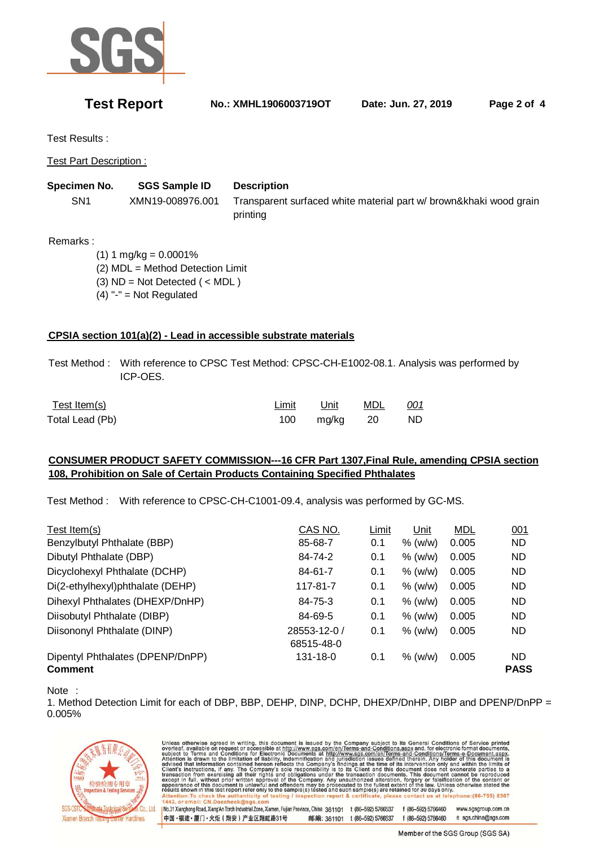

**Test Report No.: XMHL1906003719OT Date: Jun. 27, 2019 Page 2 of 4** 

Test Results :

Test Part Description :

**Specimen No. SGS Sample ID Description** 

 SN1 XMN19-008976.001 Transparent surfaced white material part w/ brown&khaki wood grain printing

Remarks :

 $(1) 1 mg/kg = 0.0001%$  (2) MDL = Method Detection Limit  $(3)$  ND = Not Detected  $($  < MDL  $)$  $(4)$  "-" = Not Regulated

## **CPSIA section 101(a)(2) - Lead in accessible substrate materials**

 Test Method : With reference to CPSC Test Method: CPSC-CH-E1002-08.1. Analysis was performed by ICP-OES.

| Test Item(s)    | Limit | Unit         | MDL | <u>001</u> |
|-----------------|-------|--------------|-----|------------|
| Total Lead (Pb) |       | 100 mg/kg 20 |     | ND.        |

中国·福建·厦门·火炬 (翔安) 产业区翔虹路31号

### **CONSUMER PRODUCT SAFETY COMMISSION---16 CFR Part 1307,Final Rule, amending CPSIA section 108, Prohibition on Sale of Certain Products Containing Specified Phthalates**

Test Method : With reference to CPSC-CH-C1001-09.4, analysis was performed by GC-MS.

| Test Item(s)                     | CAS NO.        | Limit | Unit      | <b>MDL</b> | 001         |
|----------------------------------|----------------|-------|-----------|------------|-------------|
| Benzylbutyl Phthalate (BBP)      | 85-68-7        | 0.1   | $%$ (w/w) | 0.005      | ND          |
| Dibutyl Phthalate (DBP)          | 84-74-2        | 0.1   | % (w/w)   | 0.005      | ND          |
| Dicyclohexyl Phthalate (DCHP)    | 84-61-7        | 0.1   | $%$ (w/w) | 0.005      | ND          |
| Di(2-ethylhexyl)phthalate (DEHP) | 117-81-7       | 0.1   | $%$ (w/w) | 0.005      | ND          |
| Dihexyl Phthalates (DHEXP/DnHP)  | 84-75-3        | 0.1   | $%$ (w/w) | 0.005      | ND          |
| Diisobutyl Phthalate (DIBP)      | 84-69-5        | 0.1   | $%$ (w/w) | 0.005      | ND.         |
| Diisononyl Phthalate (DINP)      | 28553-12-0 /   | 0.1   | $%$ (w/w) | 0.005      | ND          |
|                                  | 68515-48-0     |       |           |            |             |
| Dipentyl Phthalates (DPENP/DnPP) | $131 - 18 - 0$ | 0.1   | $%$ (w/w) | 0.005      | ND.         |
| <b>Comment</b>                   |                |       |           |            | <b>PASS</b> |

Note :

1. Method Detection Limit for each of DBP, BBP, DEHP, DINP, DCHP, DHEXP/DnHP, DIBP and DPENP/DnPP = 0.005%



Unless otherwise agreed in writing, this document is issued by the Company subject to its General Conditions of Service printed overleaf, available on request or accessible at http://www.sgs.com/en/Terms-and-Conditions.as No.31 Xianghong Road, Xiang An Torch Industrial Zone, Xiamen, Fujian Province, China 361101 t (86-592) 5766537 f (86-592) 5766460 www.sasaroup.com.cn

邮编: 361101 t (86-592) 5766537

Member of the SGS Group (SGS SA)

e sgs.china@sgs.com

f (86-592) 5766460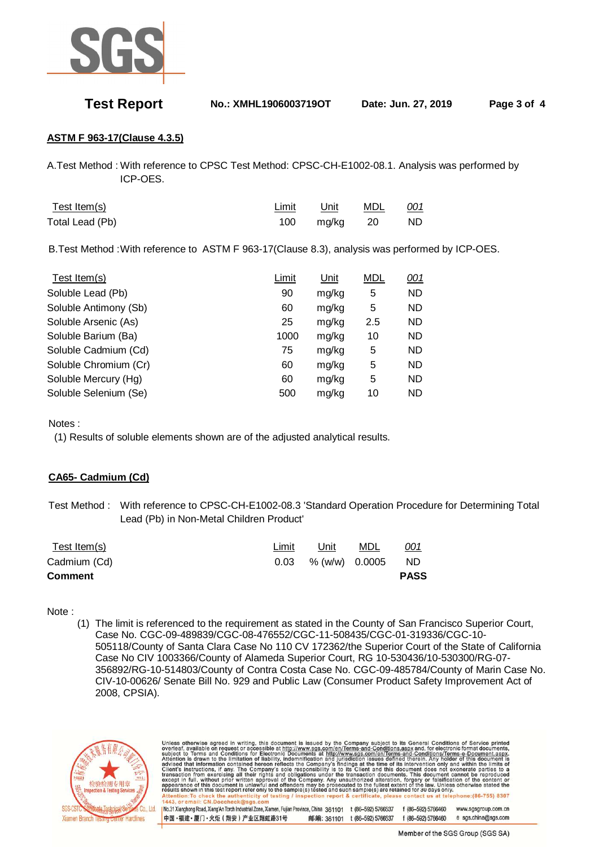

**Test Report No.: XMHL1906003719OT Date: Jun. 27, 2019 Page 3 of 4** 

## **ASTM F 963-17(Clause 4.3.5)**

A.Test Method : With reference to CPSC Test Method: CPSC-CH-E1002-08.1. Analysis was performed by ICP-OES.

| Test Item(s)    | Limit | Unit         | MDL | <u>001</u> |
|-----------------|-------|--------------|-----|------------|
| Total Lead (Pb) |       | 100 mg/kg 20 |     | ND.        |

B.Test Method : With reference to ASTM F 963-17(Clause 8.3), analysis was performed by ICP-OES.

| Test Item(s)          | Limit | Unit  | <b>MDL</b> | 001       |
|-----------------------|-------|-------|------------|-----------|
| Soluble Lead (Pb)     | 90    | mg/kg | 5          | <b>ND</b> |
| Soluble Antimony (Sb) | 60    | mg/kg | 5          | <b>ND</b> |
| Soluble Arsenic (As)  | 25    | mg/kg | 2.5        | <b>ND</b> |
| Soluble Barium (Ba)   | 1000  | mg/kg | 10         | <b>ND</b> |
| Soluble Cadmium (Cd)  | 75    | mg/kg | 5          | <b>ND</b> |
| Soluble Chromium (Cr) | 60    | mg/kg | 5          | <b>ND</b> |
| Soluble Mercury (Hg)  | 60    | mg/kg | 5          | <b>ND</b> |
| Soluble Selenium (Se) | 500   | mg/kg | 10         | <b>ND</b> |

Notes :

(1) Results of soluble elements shown are of the adjusted analytical results.

### **CA65- Cadmium (Cd)**

 Test Method : With reference to CPSC-CH-E1002-08.3 'Standard Operation Procedure for Determining Total Lead (Pb) in Non-Metal Children Product'

| Test Item(s)   | Limit | Unit           | MDL | <u>001</u>  |
|----------------|-------|----------------|-----|-------------|
| Cadmium (Cd)   | 0.03  | % (w/w) 0.0005 |     | ND.         |
| <b>Comment</b> |       |                |     | <b>PASS</b> |

### Note :

(1) The limit is referenced to the requirement as stated in the County of San Francisco Superior Court, Case No. CGC-09-489839/CGC-08-476552/CGC-11-508435/CGC-01-319336/CGC-10- 505118/County of Santa Clara Case No 110 CV 172362/the Superior Court of the State of California Case No CIV 1003366/County of Alameda Superior Court, RG 10-530436/10-530300/RG-07- 356892/RG-10-514803/County of Contra Costa Case No. CGC-09-485784/County of Marin Case No. CIV-10-00626/ Senate Bill No. 929 and Public Law (Consumer Product Safety Improvement Act of 2008, CPSIA).



| Unless otherwise agreed in writing, this document is issued by the Company subject to its General Conditions of Service printed            |                    |                    |                     |
|--------------------------------------------------------------------------------------------------------------------------------------------|--------------------|--------------------|---------------------|
| overleaf, available on request or accessible at http://www.sqs.com/en/Terms-and-Conditions.aspx and, for electronic format documents,      |                    |                    |                     |
| subject to Terms and Conditions for Electronic Documents at http://www.sgs.com/en/Terms-and-Conditions/Terms-e-Document.aspx.              |                    |                    |                     |
| Attention is drawn to the limitation of liability, indemnification and jurisdiction issues defined therein. Any holder of this document is |                    |                    |                     |
| advised that information contained hereon reflects the Company's findings at the time of its intervention only and within the limits of    |                    |                    |                     |
| Client's instructions, if any. The Company's sole responsibility is to its Client and this document does not exonerate parties to a        |                    |                    |                     |
| transaction from exercising all their rights and obligations under the transaction documents. This document cannot be reproduced           |                    |                    |                     |
| except in full, without prior written approval of the Company. Any unauthorized alteration, forgery or falsification of the content or     |                    |                    |                     |
| appearance of this document is unlawful and offenders may be prosecuted to the fullest extent of the law. Unless otherwise stated the      |                    |                    |                     |
| results shown in this test report refer only to the sample(s) tested and such sample(s) are retained for 30 days only.                     |                    |                    |                     |
| Attention: To check the authenticity of testing / inspection report & certificate, please contact us at telephone: (86-755) 8307           |                    |                    |                     |
| 1443, or email: CN.Doccheck@sgs.com                                                                                                        |                    |                    |                     |
|                                                                                                                                            |                    |                    |                     |
| I No.31 Xianghong Road, Xiang'An Torch Industrial Zone, Xiamen, Fujian Province, China 361101                                              | t (86-592) 5766537 | f (86-592) 5766460 | www.sgsgroup.com.cn |
|                                                                                                                                            |                    |                    | e sgs.china@sgs.com |
| 中国・福建・厦门・火炬 (翔安) 产业区翔虹路31号<br>邮编: 361101                                                                                                   | t (86-592) 5766537 | f (86-592) 5766460 |                     |